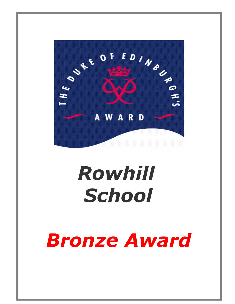

# *Rowhill School*

# *Bronze Award*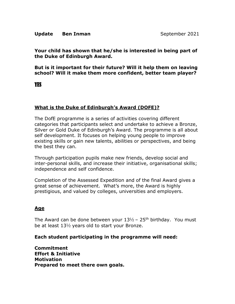#### **Update Ben Inman** September 2021

**Your child has shown that he/she is interested in being part of the Duke of Edinburgh Award.** 

**But is it important for their future? Will it help them on leaving school? Will it make them more confident, better team player?** 

YES

# **What is the Duke of Edinburgh's Award (DOFE)?**

The DofE programme is a series of activities covering different categories that participants select and undertake to achieve a Bronze, Silver or Gold Duke of Edinburgh's Award. The programme is all about self development. It focuses on helping young people to improve existing skills or gain new talents, abilities or perspectives, and being the best they can.

Through participation pupils make new friends, develop social and inter-personal skills, and increase their initiative, organisational skills; independence and self confidence.

Completion of the Assessed Expedition and of the final Award gives a great sense of achievement. What's more, the Award is highly prestigious, and valued by colleges, universities and employers.

# **Age**

The Award can be done between your  $13\frac{1}{2}$  – 25<sup>th</sup> birthday. You must be at least 13½ years old to start your Bronze.

#### **Each student participating in the programme will need:**

**Commitment Effort & Initiative Motivation Prepared to meet there own goals.**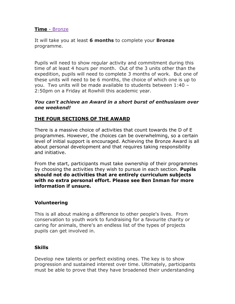#### **Time** - Bronze

It will take you at least **6 months** to complete your **Bronze** programme.

Pupils will need to show regular activity and commitment during this time of at least 4 hours per month. Out of the 3 units other than the expedition, pupils will need to complete 3 months of work. But one of these units will need to be 6 months, the choice of which one is up to you. Two units will be made available to students between 1:40 – 2:50pm on a Friday at Rowhill this academic year.

#### *You can't achieve an Award in a short burst of enthusiasm over one weekend!*

# **THE FOUR SECTIONS OF THE AWARD**

There is a massive choice of activities that count towards the D of E programmes. However, the choices can be overwhelming, so a certain level of initial support is encouraged. Achieving the Bronze Award is all about personal development and that requires taking responsibility and initiative.

From the start, participants must take ownership of their programmes by choosing the activities they wish to pursue in each section. **Pupils should not do activities that are entirely curriculum subjects with no extra personal effort. Please see Ben Inman for more information if unsure.**

# **Volunteering**

This is all about making a difference to other people's lives. From conservation to youth work to fundraising for a favourite charity or caring for animals, there's an endless list of the types of projects pupils can get involved in.

#### **Skills**

Develop new talents or perfect existing ones. The key is to show progression and sustained interest over time. Ultimately, participants must be able to prove that they have broadened their understanding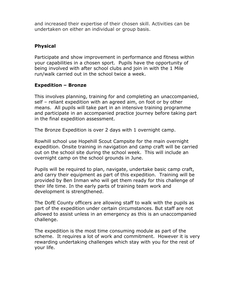and increased their expertise of their chosen skill. Activities can be undertaken on either an individual or group basis.

# **Physical**

Participate and show improvement in performance and fitness within your capabilities in a chosen sport. Pupils have the opportunity of being involved with after school clubs and join in with the 1 Mile run/walk carried out in the school twice a week.

#### **Expedition – Bronze**

This involves planning, training for and completing an unaccompanied, self – reliant expedition with an agreed aim, on foot or by other means. All pupils will take part in an intensive training programme and participate in an accompanied practice journey before taking part in the final expedition assessment.

The Bronze Expedition is over 2 days with 1 overnight camp.

Rowhill school use Hopehill Scout Campsite for the main overnight expedition. Onsite training in navigation and camp craft will be carried out on the school site during the school week. This will include an overnight camp on the school grounds in June.

Pupils will be required to plan, navigate, undertake basic camp craft, and carry their equipment as part of this expedition. Training will be provided by Ben Inman who will get them ready for this challenge of their life time. In the early parts of training team work and development is strengthened.

The DofE County officers are allowing staff to walk with the pupils as part of the expedition under certain circumstances. But staff are not allowed to assist unless in an emergency as this is an unaccompanied challenge.

The expedition is the most time consuming module as part of the scheme. It requires a lot of work and commitment. However it is very rewarding undertaking challenges which stay with you for the rest of your life.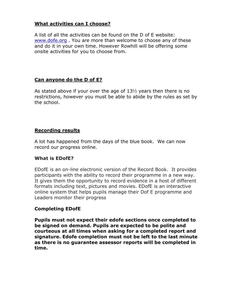# **What activities can I choose?**

A list of all the activities can be found on the D of E website: [www.dofe.org](http://www.dofe.org/) . You are more than welcome to choose any of these and do it in your own time. However Rowhill will be offering some onsite activities for you to choose from.

# **Can anyone do the D of E?**

As stated above if your over the age of  $13\frac{1}{2}$  years then there is no restrictions, however you must be able to abide by the rules as set by the school.

# **Recording results**

A lot has happened from the days of the blue book. We can now record our progress online.

# **What is EDofE?**

EDofE is an on-line electronic version of the Record Book. It provides participants with the ability to record their programme in a new way. It gives them the opportunity to record evidence in a host of different formats including text, pictures and movies. EDofE is an interactive online system that helps pupils manage their Dof E programme and Leaders monitor their progress

# **Completing EDofE**

**Pupils must not expect their edofe sections once completed to be signed on demand. Pupils are expected to be polite and courteous at all times when asking for a completed report and signature. Edofe completion must not be left to the last minute as there is no guarantee assessor reports will be completed in time.**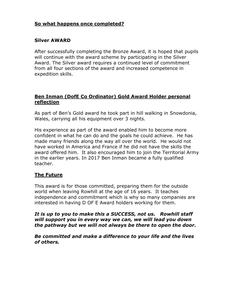# **So what happens once completed?**

#### **Silver AWARD**

After successfully completing the Bronze Award, it is hoped that pupils will continue with the award scheme by participating in the Silver Award. The Silver award requires a continued level of commitment from all four sections of the award and increased competence in expedition skills.

### **Ben Inman (DofE Co Ordinator) Gold Award Holder personal reflection**

As part of Ben's Gold award he took part in hill walking in Snowdonia, Wales, carrying all his equipment over 3 nights.

His experience as part of the award enabled him to become more confident in what he can do and the goals he could achieve. He has made many friends along the way all over the world. He would not have worked in America and France if he did not have the skills the award offered him. It also encouraged him to join the Territorial Army in the earlier years. In 2017 Ben Inman became a fully qualified teacher.

# **The Future**

This award is for those committed, preparing them for the outside world when leaving Rowhill at the age of 16 years. It teaches independence and commitment which is why so many companies are interested in having D OF E Award holders working for them.

*It is up to you to make this a SUCCESS, not us. Rowhill staff will support you in every way we can, we will lead you down the pathway but we will not always be there to open the door.* 

*Be committed and make a difference to your life and the lives of others.*